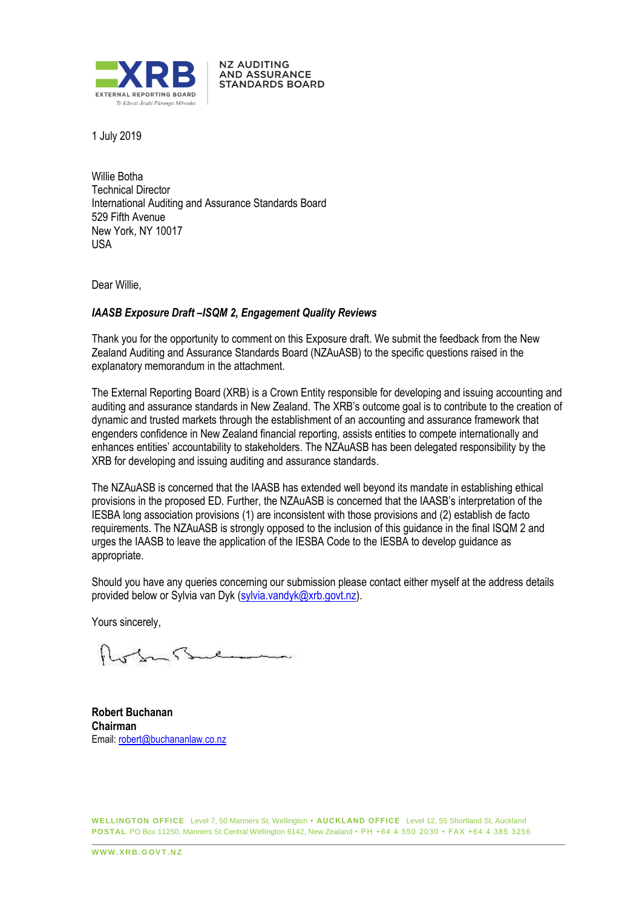

**NZ AUDITING** AND ASSURANCE **STANDARDS BOARD** 

1 July 2019

Willie Botha Technical Director International Auditing and Assurance Standards Board 529 Fifth Avenue New York, NY 10017 USA

Dear Willie,

### *IAASB Exposure Draft –ISQM 2, Engagement Quality Reviews*

Thank you for the opportunity to comment on this Exposure draft. We submit the feedback from the New Zealand Auditing and Assurance Standards Board (NZAuASB) to the specific questions raised in the explanatory memorandum in the attachment.

The External Reporting Board (XRB) is a Crown Entity responsible for developing and issuing accounting and auditing and assurance standards in New Zealand. The XRB's outcome goal is to contribute to the creation of dynamic and trusted markets through the establishment of an accounting and assurance framework that engenders confidence in New Zealand financial reporting, assists entities to compete internationally and enhances entities' accountability to stakeholders. The NZAuASB has been delegated responsibility by the XRB for developing and issuing auditing and assurance standards.

The NZAuASB is concerned that the IAASB has extended well beyond its mandate in establishing ethical provisions in the proposed ED. Further, the NZAuASB is concerned that the IAASB's interpretation of the IESBA long association provisions (1) are inconsistent with those provisions and (2) establish de facto requirements. The NZAuASB is strongly opposed to the inclusion of this guidance in the final ISQM 2 and urges the IAASB to leave the application of the IESBA Code to the IESBA to develop guidance as appropriate.

Should you have any queries concerning our submission please contact either myself at the address details provided below or Sylvia van Dyk (sylvia.vandyk@xrb.govt.nz).

Yours sincerely,

**Robert Buchanan Chairman** Email: robert@buchananlaw.co.nz

**WELLINGTON OFFICE** Level 7, 50 Manners St, Wellington **• AUCKLAND OFFICE** Level 12, 55 Shortland St, Auckland **POSTAL** PO Box 11250, Manners St Central Wellington 6142, New Zealand • PH +64 4 550 2030 • FAX +64 4 385 3256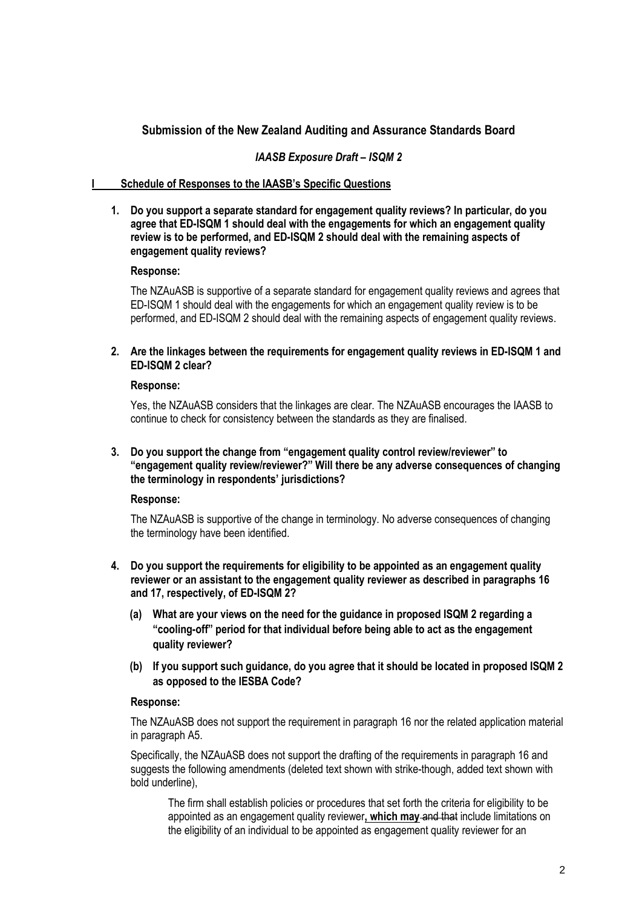# **Submission of the New Zealand Auditing and Assurance Standards Board**

## *IAASB Exposure Draft – ISQM 2*

## **I Schedule of Responses to the IAASB's Specific Questions**

#### **1. Do you support a separate standard for engagement quality reviews? In particular, do you agree that ED-ISQM 1 should deal with the engagements for which an engagement quality review is to be performed, and ED-ISQM 2 should deal with the remaining aspects of engagement quality reviews?**

#### **Response:**

The NZAuASB is supportive of a separate standard for engagement quality reviews and agrees that ED-ISQM 1 should deal with the engagements for which an engagement quality review is to be performed, and ED-ISQM 2 should deal with the remaining aspects of engagement quality reviews.

### **2. Are the linkages between the requirements for engagement quality reviews in ED-ISQM 1 and ED-ISQM 2 clear?**

#### **Response:**

Yes, the NZAuASB considers that the linkages are clear. The NZAuASB encourages the IAASB to continue to check for consistency between the standards as they are finalised.

### **3. Do you support the change from "engagement quality control review/reviewer" to "engagement quality review/reviewer?" Will there be any adverse consequences of changing the terminology in respondents' jurisdictions?**

#### **Response:**

The NZAuASB is supportive of the change in terminology. No adverse consequences of changing the terminology have been identified.

- **4. Do you support the requirements for eligibility to be appointed as an engagement quality reviewer or an assistant to the engagement quality reviewer as described in paragraphs 16 and 17, respectively, of ED-ISQM 2?**
	- **(a) What are your views on the need for the guidance in proposed ISQM 2 regarding a "cooling-off" period for that individual before being able to act as the engagement quality reviewer?**
	- **(b) If you support such guidance, do you agree that it should be located in proposed ISQM 2 as opposed to the IESBA Code?**

#### **Response:**

The NZAuASB does not support the requirement in paragraph 16 nor the related application material in paragraph A5.

Specifically, the NZAuASB does not support the drafting of the requirements in paragraph 16 and suggests the following amendments (deleted text shown with strike-though, added text shown with bold underline),

The firm shall establish policies or procedures that set forth the criteria for eligibility to be appointed as an engagement quality reviewer**, which may** and that include limitations on the eligibility of an individual to be appointed as engagement quality reviewer for an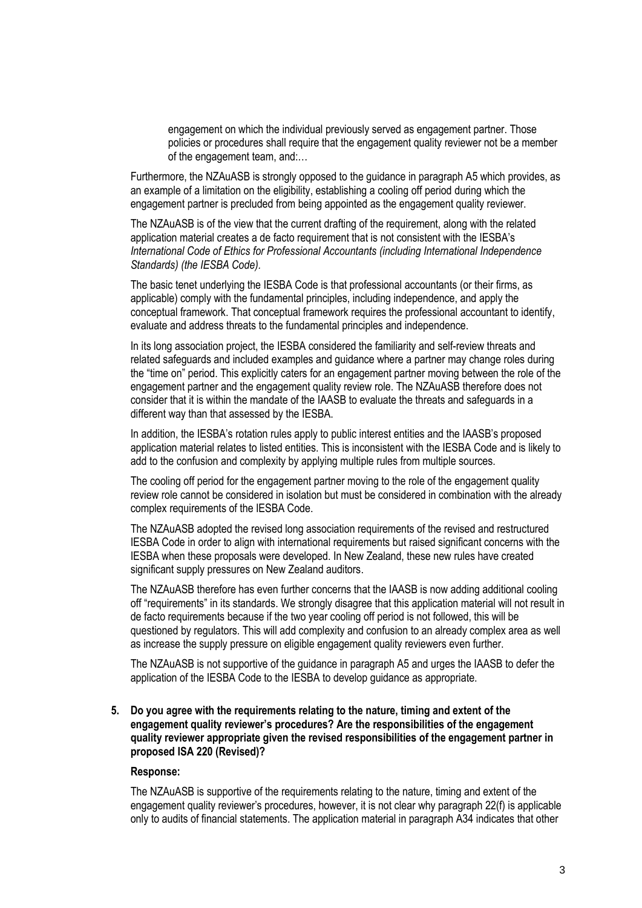engagement on which the individual previously served as engagement partner. Those policies or procedures shall require that the engagement quality reviewer not be a member of the engagement team, and:…

Furthermore, the NZAuASB is strongly opposed to the guidance in paragraph A5 which provides, as an example of a limitation on the eligibility, establishing a cooling off period during which the engagement partner is precluded from being appointed as the engagement quality reviewer.

The NZAuASB is of the view that the current drafting of the requirement, along with the related application material creates a de facto requirement that is not consistent with the IESBA's *International Code of Ethics for Professional Accountants (including International Independence Standards) (the IESBA Code).* 

The basic tenet underlying the IESBA Code is that professional accountants (or their firms, as applicable) comply with the fundamental principles, including independence, and apply the conceptual framework. That conceptual framework requires the professional accountant to identify, evaluate and address threats to the fundamental principles and independence.

In its long association project, the IESBA considered the familiarity and self-review threats and related safeguards and included examples and guidance where a partner may change roles during the "time on" period. This explicitly caters for an engagement partner moving between the role of the engagement partner and the engagement quality review role. The NZAuASB therefore does not consider that it is within the mandate of the IAASB to evaluate the threats and safeguards in a different way than that assessed by the IESBA.

In addition, the IESBA's rotation rules apply to public interest entities and the IAASB's proposed application material relates to listed entities. This is inconsistent with the IESBA Code and is likely to add to the confusion and complexity by applying multiple rules from multiple sources.

The cooling off period for the engagement partner moving to the role of the engagement quality review role cannot be considered in isolation but must be considered in combination with the already complex requirements of the IESBA Code.

The NZAuASB adopted the revised long association requirements of the revised and restructured IESBA Code in order to align with international requirements but raised significant concerns with the IESBA when these proposals were developed. In New Zealand, these new rules have created significant supply pressures on New Zealand auditors.

The NZAuASB therefore has even further concerns that the IAASB is now adding additional cooling off "requirements" in its standards. We strongly disagree that this application material will not result in de facto requirements because if the two year cooling off period is not followed, this will be questioned by regulators. This will add complexity and confusion to an already complex area as well as increase the supply pressure on eligible engagement quality reviewers even further.

The NZAuASB is not supportive of the guidance in paragraph A5 and urges the IAASB to defer the application of the IESBA Code to the IESBA to develop guidance as appropriate.

#### **5. Do you agree with the requirements relating to the nature, timing and extent of the engagement quality reviewer's procedures? Are the responsibilities of the engagement quality reviewer appropriate given the revised responsibilities of the engagement partner in proposed ISA 220 (Revised)?**

#### **Response:**

The NZAuASB is supportive of the requirements relating to the nature, timing and extent of the engagement quality reviewer's procedures, however, it is not clear why paragraph 22(f) is applicable only to audits of financial statements. The application material in paragraph A34 indicates that other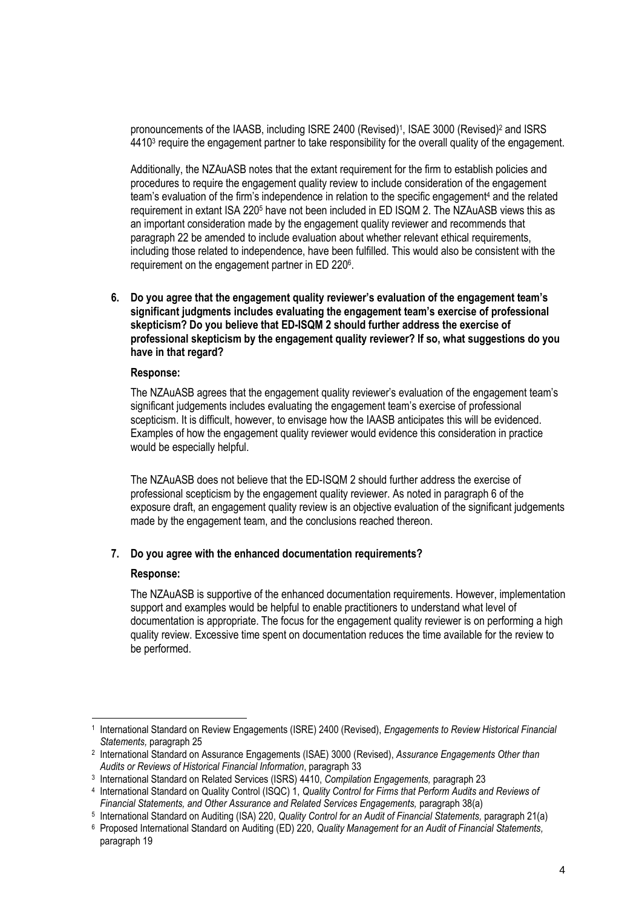pronouncements of the IAASB, including ISRE 2400 (Revised)<sup>1</sup>, ISAE 3000 (Revised)<sup>2</sup> and ISRS 4410<sup>3</sup> require the engagement partner to take responsibility for the overall quality of the engagement.

Additionally, the NZAuASB notes that the extant requirement for the firm to establish policies and procedures to require the engagement quality review to include consideration of the engagement team's evaluation of the firm's independence in relation to the specific engagement<sup>4</sup> and the related requirement in extant ISA 220<sup>5</sup> have not been included in ED ISQM 2. The NZAuASB views this as an important consideration made by the engagement quality reviewer and recommends that paragraph 22 be amended to include evaluation about whether relevant ethical requirements, including those related to independence, have been fulfilled. This would also be consistent with the requirement on the engagement partner in ED 220<sup>6</sup>.

**6. Do you agree that the engagement quality reviewer's evaluation of the engagement team's significant judgments includes evaluating the engagement team's exercise of professional skepticism? Do you believe that ED-ISQM 2 should further address the exercise of professional skepticism by the engagement quality reviewer? If so, what suggestions do you have in that regard?** 

#### **Response:**

The NZAuASB agrees that the engagement quality reviewer's evaluation of the engagement team's significant judgements includes evaluating the engagement team's exercise of professional scepticism. It is difficult, however, to envisage how the IAASB anticipates this will be evidenced. Examples of how the engagement quality reviewer would evidence this consideration in practice would be especially helpful.

The NZAuASB does not believe that the ED-ISQM 2 should further address the exercise of professional scepticism by the engagement quality reviewer. As noted in paragraph 6 of the exposure draft, an engagement quality review is an objective evaluation of the significant judgements made by the engagement team, and the conclusions reached thereon.

## **7. Do you agree with the enhanced documentation requirements?**

#### **Response:**

The NZAuASB is supportive of the enhanced documentation requirements. However, implementation support and examples would be helpful to enable practitioners to understand what level of documentation is appropriate. The focus for the engagement quality reviewer is on performing a high quality review. Excessive time spent on documentation reduces the time available for the review to be performed.

<sup>-</sup>1 International Standard on Review Engagements (ISRE) 2400 (Revised), *Engagements to Review Historical Financial Statements,* paragraph 25

<sup>2</sup> International Standard on Assurance Engagements (ISAE) 3000 (Revised), *Assurance Engagements Other than Audits or Reviews of Historical Financial Information*, paragraph 33

<sup>3</sup> International Standard on Related Services (ISRS) 4410, *Compilation Engagements,* paragraph 23

<sup>4</sup> International Standard on Quality Control (ISQC) 1, *Quality Control for Firms that Perform Audits and Reviews of*  Financial Statements, and Other Assurance and Related Services Engagements, paragraph 38(a)

<sup>&</sup>lt;sup>5</sup> International Standard on Auditing (ISA) 220, Quality Control for an Audit of Financial Statements, paragraph 21(a)

<sup>6</sup> Proposed International Standard on Auditing (ED) 220, *Quality Management for an Audit of Financial Statements,*  paragraph 19